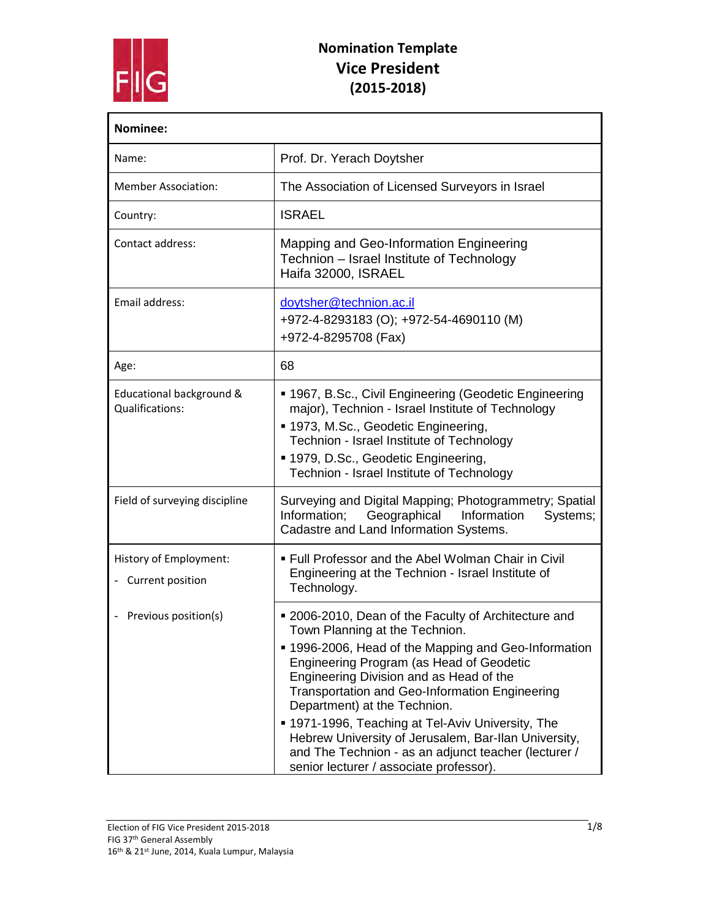

| Nominee:                                     |                                                                                                                                                                                                                                                                                                                                                                                                                                                                                                                                                |
|----------------------------------------------|------------------------------------------------------------------------------------------------------------------------------------------------------------------------------------------------------------------------------------------------------------------------------------------------------------------------------------------------------------------------------------------------------------------------------------------------------------------------------------------------------------------------------------------------|
| Name:                                        | Prof. Dr. Yerach Doytsher                                                                                                                                                                                                                                                                                                                                                                                                                                                                                                                      |
| <b>Member Association:</b>                   | The Association of Licensed Surveyors in Israel                                                                                                                                                                                                                                                                                                                                                                                                                                                                                                |
| Country:                                     | <b>ISRAEL</b>                                                                                                                                                                                                                                                                                                                                                                                                                                                                                                                                  |
| Contact address:                             | Mapping and Geo-Information Engineering<br>Technion - Israel Institute of Technology<br>Haifa 32000, ISRAEL                                                                                                                                                                                                                                                                                                                                                                                                                                    |
| Email address:                               | doytsher@technion.ac.il<br>+972-4-8293183 (O); +972-54-4690110 (M)<br>+972-4-8295708 (Fax)                                                                                                                                                                                                                                                                                                                                                                                                                                                     |
| Age:                                         | 68                                                                                                                                                                                                                                                                                                                                                                                                                                                                                                                                             |
| Educational background &<br>Qualifications:  | ■ 1967, B.Sc., Civil Engineering (Geodetic Engineering<br>major), Technion - Israel Institute of Technology<br>■ 1973, M.Sc., Geodetic Engineering,<br>Technion - Israel Institute of Technology<br>■ 1979, D.Sc., Geodetic Engineering,<br>Technion - Israel Institute of Technology                                                                                                                                                                                                                                                          |
| Field of surveying discipline                | Surveying and Digital Mapping; Photogrammetry; Spatial<br>Information;<br>Geographical<br>Information<br>Systems;<br>Cadastre and Land Information Systems.                                                                                                                                                                                                                                                                                                                                                                                    |
| History of Employment:<br>- Current position | • Full Professor and the Abel Wolman Chair in Civil<br>Engineering at the Technion - Israel Institute of<br>Technology.                                                                                                                                                                                                                                                                                                                                                                                                                        |
| Previous position(s)                         | ■ 2006-2010, Dean of the Faculty of Architecture and<br>Town Planning at the Technion.<br>■ 1996-2006, Head of the Mapping and Geo-Information<br>Engineering Program (as Head of Geodetic<br>Engineering Division and as Head of the<br><b>Transportation and Geo-Information Engineering</b><br>Department) at the Technion.<br>■ 1971-1996, Teaching at Tel-Aviv University, The<br>Hebrew University of Jerusalem, Bar-Ilan University,<br>and The Technion - as an adjunct teacher (lecturer /<br>senior lecturer / associate professor). |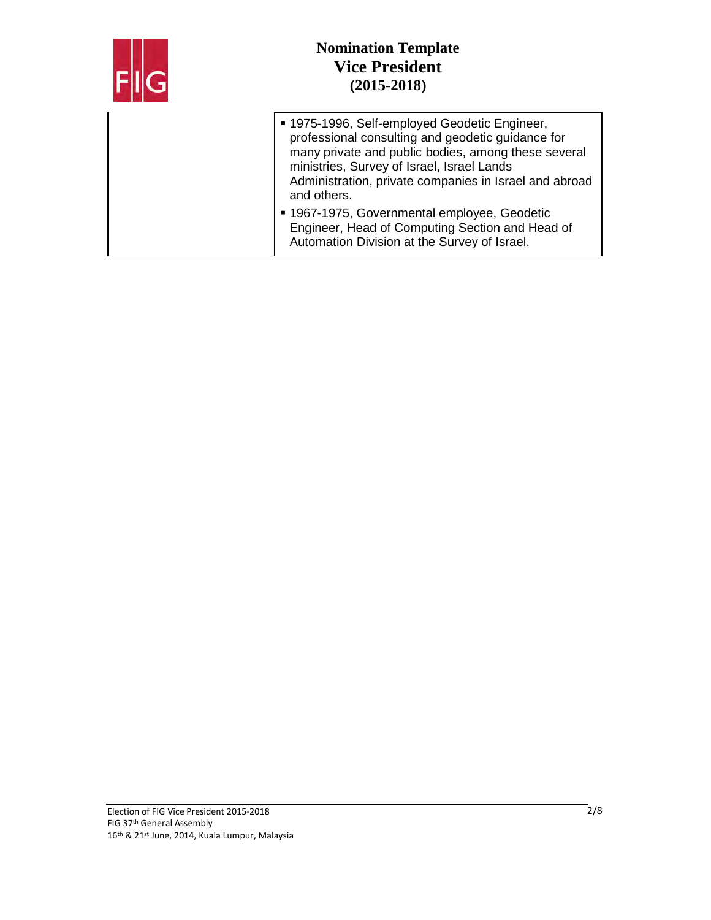

| ■ 1975-1996, Self-employed Geodetic Engineer,<br>professional consulting and geodetic guidance for<br>many private and public bodies, among these several<br>ministries, Survey of Israel, Israel Lands<br>Administration, private companies in Israel and abroad<br>and others. |
|----------------------------------------------------------------------------------------------------------------------------------------------------------------------------------------------------------------------------------------------------------------------------------|
| ■ 1967-1975, Governmental employee, Geodetic<br>Engineer, Head of Computing Section and Head of<br>Automation Division at the Survey of Israel.                                                                                                                                  |
|                                                                                                                                                                                                                                                                                  |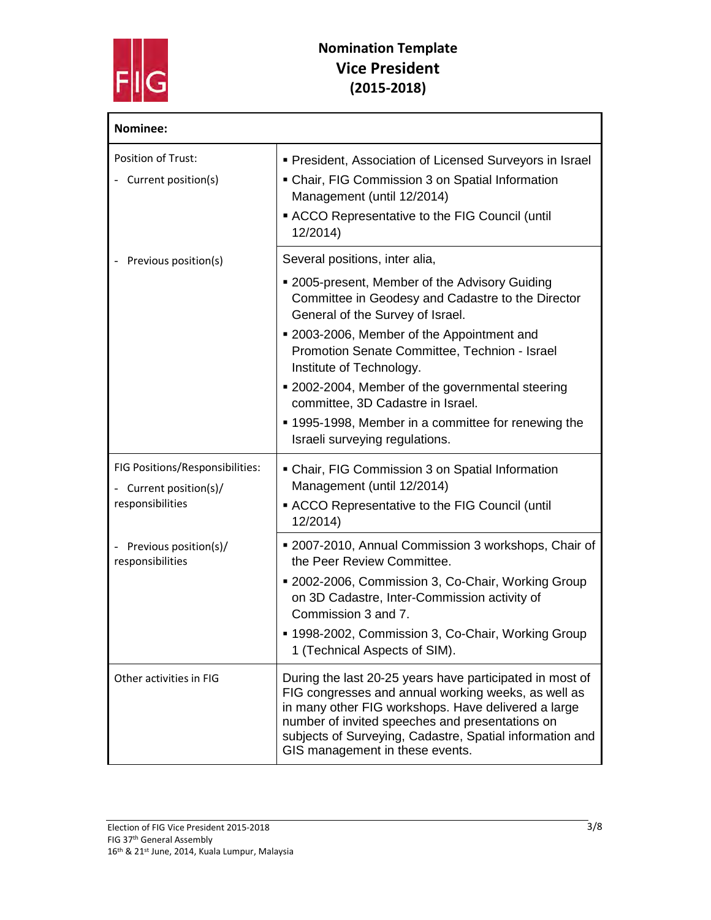

| Nominee:                                                                      |                                                                                                                                                                                                                                                                                                                          |
|-------------------------------------------------------------------------------|--------------------------------------------------------------------------------------------------------------------------------------------------------------------------------------------------------------------------------------------------------------------------------------------------------------------------|
| Position of Trust:<br>- Current position(s)                                   | • President, Association of Licensed Surveyors in Israel<br>• Chair, FIG Commission 3 on Spatial Information<br>Management (until 12/2014)<br>ACCO Representative to the FIG Council (until<br>12/2014)                                                                                                                  |
| Previous position(s)                                                          | Several positions, inter alia,                                                                                                                                                                                                                                                                                           |
|                                                                               | • 2005-present, Member of the Advisory Guiding<br>Committee in Geodesy and Cadastre to the Director<br>General of the Survey of Israel.                                                                                                                                                                                  |
|                                                                               | ■ 2003-2006, Member of the Appointment and<br>Promotion Senate Committee, Technion - Israel<br>Institute of Technology.                                                                                                                                                                                                  |
|                                                                               | ■ 2002-2004, Member of the governmental steering<br>committee, 3D Cadastre in Israel.                                                                                                                                                                                                                                    |
|                                                                               | ■ 1995-1998, Member in a committee for renewing the<br>Israeli surveying regulations.                                                                                                                                                                                                                                    |
| FIG Positions/Responsibilities:<br>- Current position(s)/<br>responsibilities | • Chair, FIG Commission 3 on Spatial Information<br>Management (until 12/2014)                                                                                                                                                                                                                                           |
|                                                                               | • ACCO Representative to the FIG Council (until<br>12/2014)                                                                                                                                                                                                                                                              |
| Previous position(s)/<br>responsibilities                                     | ■ 2007-2010, Annual Commission 3 workshops, Chair of<br>the Peer Review Committee.                                                                                                                                                                                                                                       |
|                                                                               | ■ 2002-2006, Commission 3, Co-Chair, Working Group<br>on 3D Cadastre, Inter-Commission activity of<br>Commission 3 and 7.                                                                                                                                                                                                |
|                                                                               | ■ 1998-2002, Commission 3, Co-Chair, Working Group<br>1 (Technical Aspects of SIM).                                                                                                                                                                                                                                      |
| Other activities in FIG                                                       | During the last 20-25 years have participated in most of<br>FIG congresses and annual working weeks, as well as<br>in many other FIG workshops. Have delivered a large<br>number of invited speeches and presentations on<br>subjects of Surveying, Cadastre, Spatial information and<br>GIS management in these events. |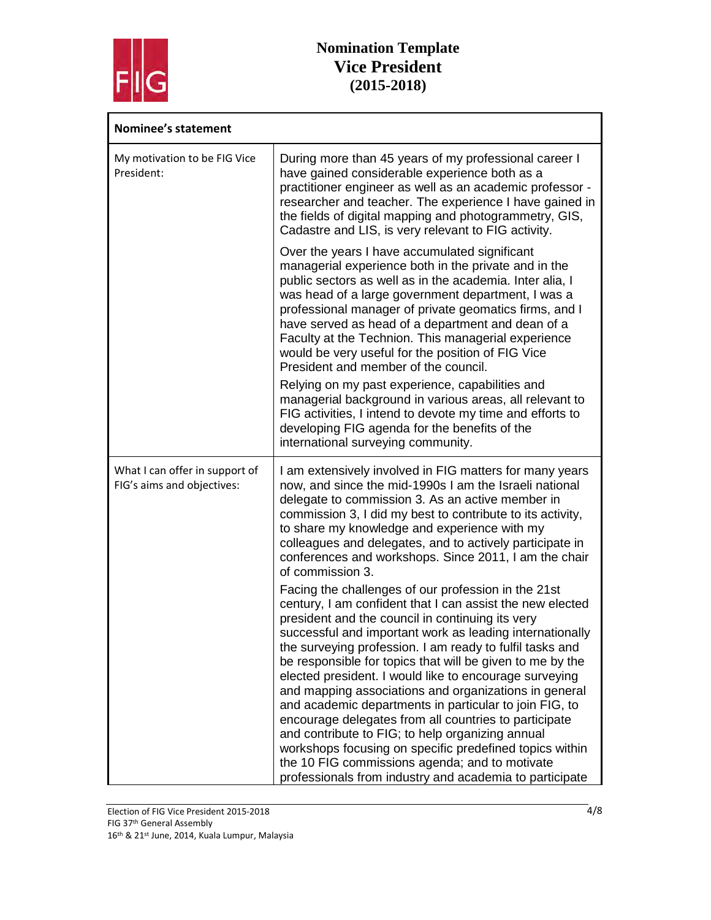

| <b>Nominee's statement</b>                                   |                                                                                                                                                                                                                                                                                                                                                                                                                                                                                                                                                                                                                                                                                                                |
|--------------------------------------------------------------|----------------------------------------------------------------------------------------------------------------------------------------------------------------------------------------------------------------------------------------------------------------------------------------------------------------------------------------------------------------------------------------------------------------------------------------------------------------------------------------------------------------------------------------------------------------------------------------------------------------------------------------------------------------------------------------------------------------|
| My motivation to be FIG Vice<br>President:                   | During more than 45 years of my professional career I<br>have gained considerable experience both as a<br>practitioner engineer as well as an academic professor -<br>researcher and teacher. The experience I have gained in<br>the fields of digital mapping and photogrammetry, GIS,<br>Cadastre and LIS, is very relevant to FIG activity.                                                                                                                                                                                                                                                                                                                                                                 |
|                                                              | Over the years I have accumulated significant<br>managerial experience both in the private and in the<br>public sectors as well as in the academia. Inter alia, I<br>was head of a large government department, I was a<br>professional manager of private geomatics firms, and I<br>have served as head of a department and dean of a<br>Faculty at the Technion. This managerial experience<br>would be very useful for the position of FIG Vice<br>President and member of the council.                                                                                                                                                                                                                     |
|                                                              | Relying on my past experience, capabilities and<br>managerial background in various areas, all relevant to<br>FIG activities, I intend to devote my time and efforts to<br>developing FIG agenda for the benefits of the<br>international surveying community.                                                                                                                                                                                                                                                                                                                                                                                                                                                 |
| What I can offer in support of<br>FIG's aims and objectives: | I am extensively involved in FIG matters for many years<br>now, and since the mid-1990s I am the Israeli national<br>delegate to commission 3. As an active member in<br>commission 3, I did my best to contribute to its activity,<br>to share my knowledge and experience with my<br>colleagues and delegates, and to actively participate in<br>conferences and workshops. Since 2011, I am the chair<br>of commission 3.                                                                                                                                                                                                                                                                                   |
|                                                              | Facing the challenges of our profession in the 21st<br>century, I am confident that I can assist the new elected<br>president and the council in continuing its very<br>successful and important work as leading internationally<br>the surveying profession. I am ready to fulfil tasks and<br>be responsible for topics that will be given to me by the<br>elected president. I would like to encourage surveying<br>and mapping associations and organizations in general<br>and academic departments in particular to join FIG, to<br>encourage delegates from all countries to participate<br>and contribute to FIG; to help organizing annual<br>workshops focusing on specific predefined topics within |
|                                                              | the 10 FIG commissions agenda; and to motivate<br>professionals from industry and academia to participate                                                                                                                                                                                                                                                                                                                                                                                                                                                                                                                                                                                                      |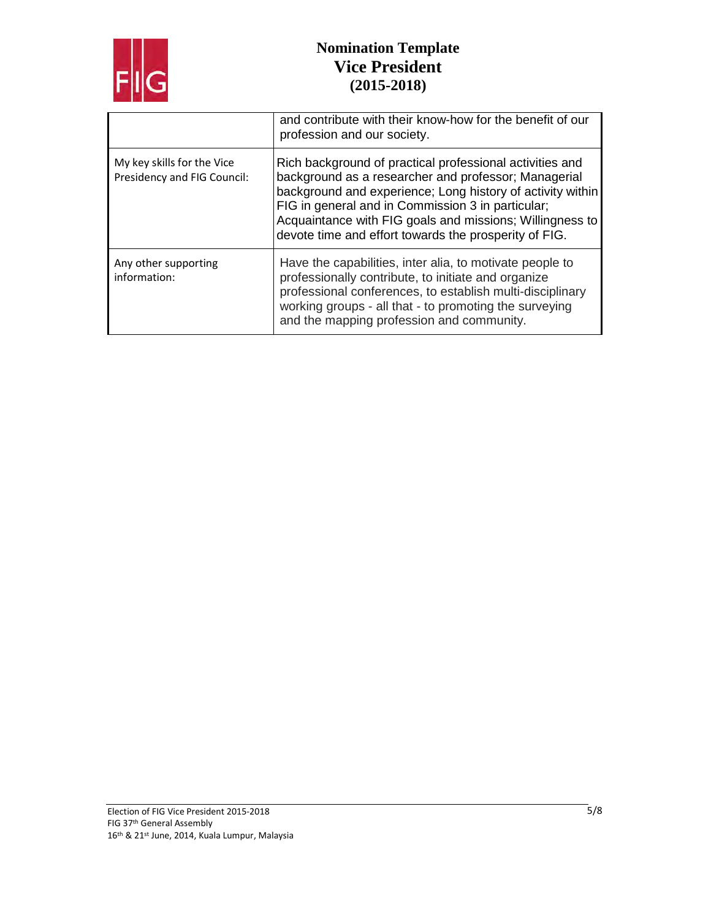

|                                                           | and contribute with their know-how for the benefit of our<br>profession and our society.                                                                                                                                                                                                                                                                 |
|-----------------------------------------------------------|----------------------------------------------------------------------------------------------------------------------------------------------------------------------------------------------------------------------------------------------------------------------------------------------------------------------------------------------------------|
| My key skills for the Vice<br>Presidency and FIG Council: | Rich background of practical professional activities and<br>background as a researcher and professor; Managerial<br>background and experience; Long history of activity within<br>FIG in general and in Commission 3 in particular;<br>Acquaintance with FIG goals and missions; Willingness to<br>devote time and effort towards the prosperity of FIG. |
| Any other supporting<br>information:                      | Have the capabilities, inter alia, to motivate people to<br>professionally contribute, to initiate and organize<br>professional conferences, to establish multi-disciplinary<br>working groups - all that - to promoting the surveying<br>and the mapping profession and community.                                                                      |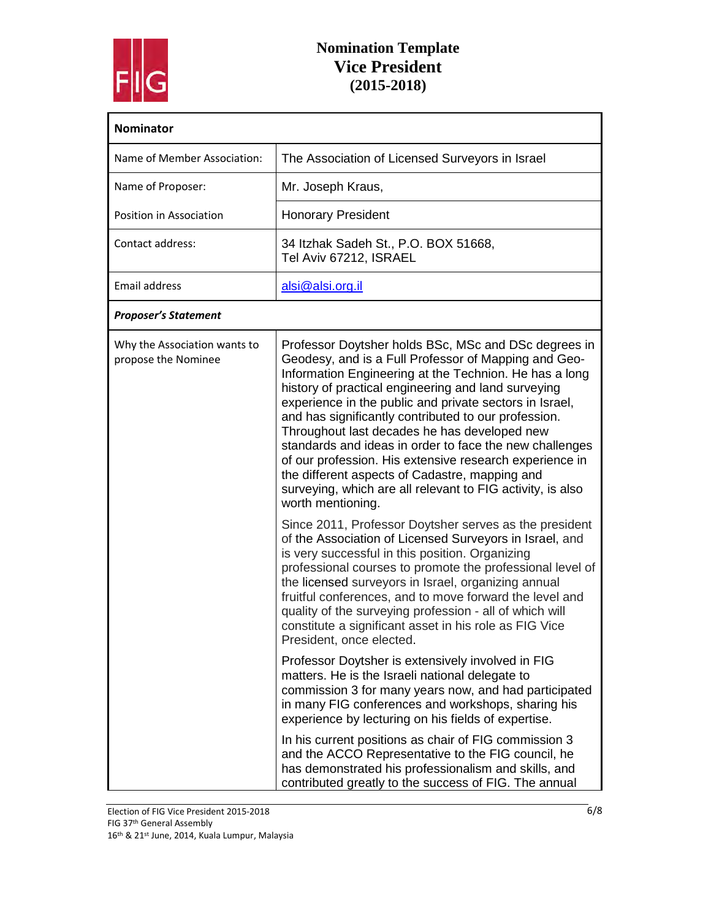

| <b>Nominator</b>                                    |                                                                                                                                                                                                                                                                                                                                                                                                                                                                                                                                                                                                                                                                                                                       |
|-----------------------------------------------------|-----------------------------------------------------------------------------------------------------------------------------------------------------------------------------------------------------------------------------------------------------------------------------------------------------------------------------------------------------------------------------------------------------------------------------------------------------------------------------------------------------------------------------------------------------------------------------------------------------------------------------------------------------------------------------------------------------------------------|
| Name of Member Association:                         | The Association of Licensed Surveyors in Israel                                                                                                                                                                                                                                                                                                                                                                                                                                                                                                                                                                                                                                                                       |
| Name of Proposer:                                   | Mr. Joseph Kraus,                                                                                                                                                                                                                                                                                                                                                                                                                                                                                                                                                                                                                                                                                                     |
| Position in Association                             | <b>Honorary President</b>                                                                                                                                                                                                                                                                                                                                                                                                                                                                                                                                                                                                                                                                                             |
| Contact address:                                    | 34 Itzhak Sadeh St., P.O. BOX 51668,<br>Tel Aviv 67212, ISRAEL                                                                                                                                                                                                                                                                                                                                                                                                                                                                                                                                                                                                                                                        |
| <b>Email address</b>                                | alsi@alsi.org.il                                                                                                                                                                                                                                                                                                                                                                                                                                                                                                                                                                                                                                                                                                      |
| <b>Proposer's Statement</b>                         |                                                                                                                                                                                                                                                                                                                                                                                                                                                                                                                                                                                                                                                                                                                       |
| Why the Association wants to<br>propose the Nominee | Professor Doytsher holds BSc, MSc and DSc degrees in<br>Geodesy, and is a Full Professor of Mapping and Geo-<br>Information Engineering at the Technion. He has a long<br>history of practical engineering and land surveying<br>experience in the public and private sectors in Israel,<br>and has significantly contributed to our profession.<br>Throughout last decades he has developed new<br>standards and ideas in order to face the new challenges<br>of our profession. His extensive research experience in<br>the different aspects of Cadastre, mapping and<br>surveying, which are all relevant to FIG activity, is also<br>worth mentioning.<br>Since 2011, Professor Doytsher serves as the president |
|                                                     | of the Association of Licensed Surveyors in Israel, and<br>is very successful in this position. Organizing<br>professional courses to promote the professional level of<br>the licensed surveyors in Israel, organizing annual<br>fruitful conferences, and to move forward the level and<br>quality of the surveying profession - all of which will<br>constitute a significant asset in his role as FIG Vice<br>President, once elected.                                                                                                                                                                                                                                                                            |
|                                                     | Professor Doytsher is extensively involved in FIG<br>matters. He is the Israeli national delegate to<br>commission 3 for many years now, and had participated<br>in many FIG conferences and workshops, sharing his<br>experience by lecturing on his fields of expertise.                                                                                                                                                                                                                                                                                                                                                                                                                                            |
|                                                     | In his current positions as chair of FIG commission 3<br>and the ACCO Representative to the FIG council, he<br>has demonstrated his professionalism and skills, and<br>contributed greatly to the success of FIG. The annual                                                                                                                                                                                                                                                                                                                                                                                                                                                                                          |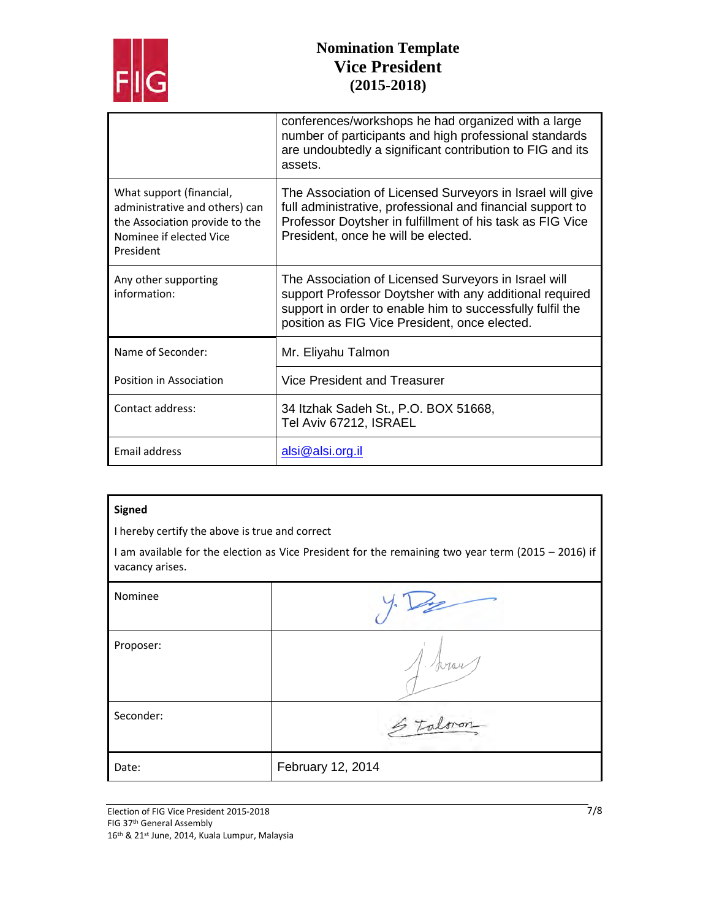

|                                                                                                                                      | conferences/workshops he had organized with a large<br>number of participants and high professional standards<br>are undoubtedly a significant contribution to FIG and its<br>assets.                                         |
|--------------------------------------------------------------------------------------------------------------------------------------|-------------------------------------------------------------------------------------------------------------------------------------------------------------------------------------------------------------------------------|
| What support (financial,<br>administrative and others) can<br>the Association provide to the<br>Nominee if elected Vice<br>President | The Association of Licensed Surveyors in Israel will give<br>full administrative, professional and financial support to<br>Professor Doytsher in fulfillment of his task as FIG Vice<br>President, once he will be elected.   |
| Any other supporting<br>information:                                                                                                 | The Association of Licensed Surveyors in Israel will<br>support Professor Doytsher with any additional required<br>support in order to enable him to successfully fulfil the<br>position as FIG Vice President, once elected. |
| Name of Seconder:                                                                                                                    | Mr. Eliyahu Talmon                                                                                                                                                                                                            |
| Position in Association                                                                                                              | Vice President and Treasurer                                                                                                                                                                                                  |
| Contact address:                                                                                                                     | 34 Itzhak Sadeh St., P.O. BOX 51668,<br>Tel Aviv 67212, ISRAEL                                                                                                                                                                |
| Email address                                                                                                                        | alsi@alsi.org.il                                                                                                                                                                                                              |

#### **Signed**

I hereby certify the above is true and correct

I am available for the election as Vice President for the remaining two year term (2015 – 2016) if vacancy arises.

| Nominee   |                   |
|-----------|-------------------|
| Proposer: | 1. forau          |
| Seconder: | Stalmon           |
| Date:     | February 12, 2014 |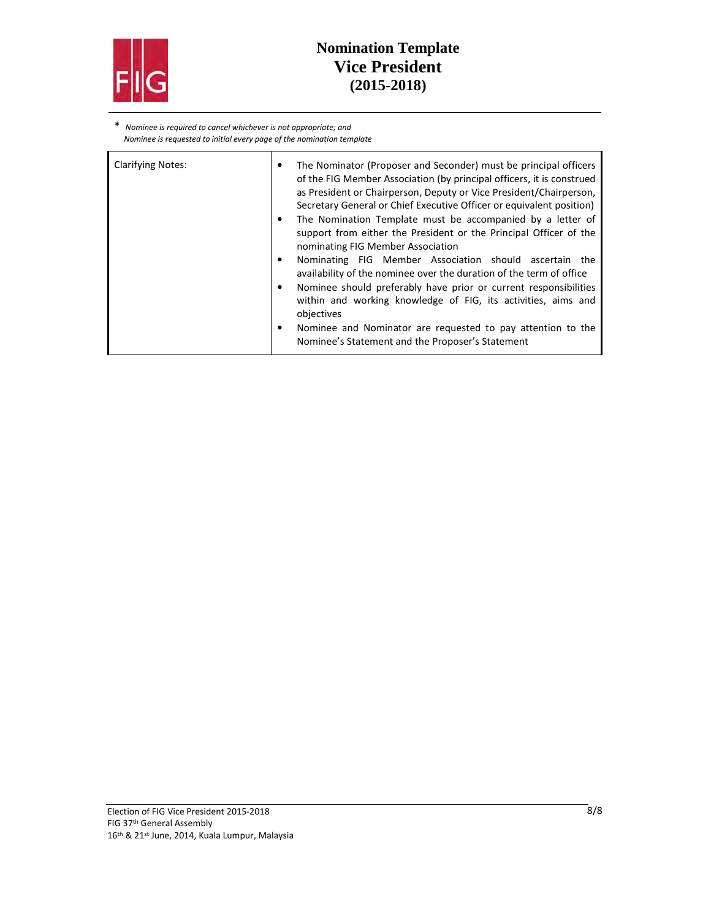

\* *Nominee is required to cancel whichever is not appropriate; and Nominee is requested to initial every page of the nomination template* 

| <b>Clarifying Notes:</b> | The Nominator (Proposer and Seconder) must be principal officers<br>٠<br>of the FIG Member Association (by principal officers, it is construed<br>as President or Chairperson, Deputy or Vice President/Chairperson,<br>Secretary General or Chief Executive Officer or equivalent position)<br>The Nomination Template must be accompanied by a letter of<br>٠<br>support from either the President or the Principal Officer of the |
|--------------------------|--------------------------------------------------------------------------------------------------------------------------------------------------------------------------------------------------------------------------------------------------------------------------------------------------------------------------------------------------------------------------------------------------------------------------------------|
|                          | nominating FIG Member Association                                                                                                                                                                                                                                                                                                                                                                                                    |
|                          | Nominating FIG Member Association should ascertain the<br>٠<br>availability of the nominee over the duration of the term of office                                                                                                                                                                                                                                                                                                   |
|                          | Nominee should preferably have prior or current responsibilities<br>within and working knowledge of FIG, its activities, aims and<br>objectives                                                                                                                                                                                                                                                                                      |
|                          | Nominee and Nominator are requested to pay attention to the<br>٠<br>Nominee's Statement and the Proposer's Statement                                                                                                                                                                                                                                                                                                                 |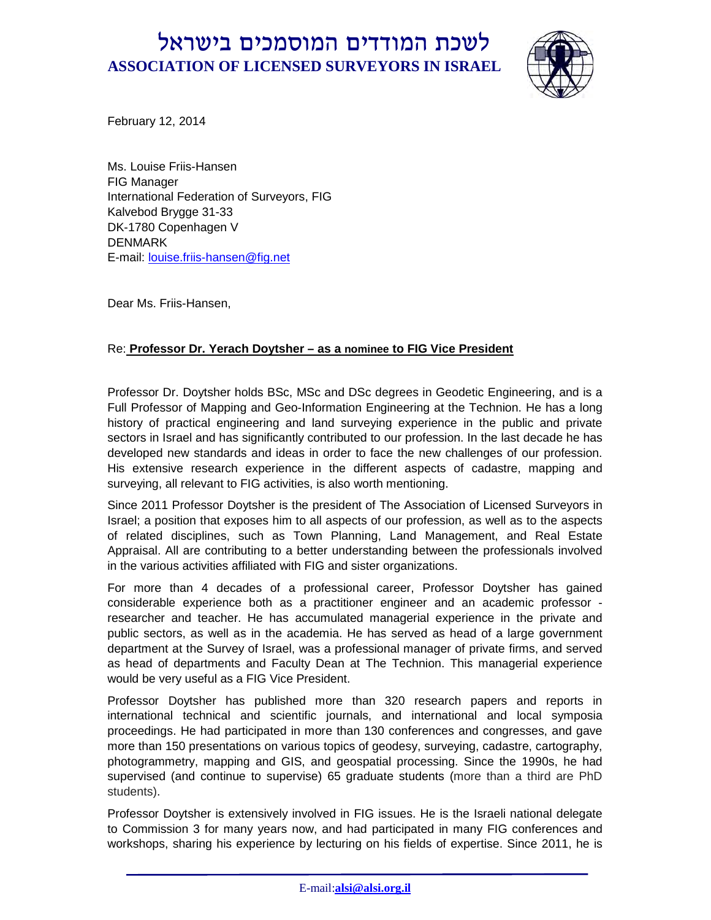

February 12, 2014

Ms. Louise Friis-Hansen FIG Manager International Federation of Surveyors, FIG Kalvebod Brygge 31-33 DK-1780 Copenhagen V DENMARK E-mail: louise.friis-hansen@fig.net

Dear Ms. Friis-Hansen,

#### Re: **Professor Dr. Yerach Doytsher – as a nominee to FIG Vice President**

Professor Dr. Doytsher holds BSc, MSc and DSc degrees in Geodetic Engineering, and is a Full Professor of Mapping and Geo-Information Engineering at the Technion. He has a long history of practical engineering and land surveying experience in the public and private sectors in Israel and has significantly contributed to our profession. In the last decade he has developed new standards and ideas in order to face the new challenges of our profession. His extensive research experience in the different aspects of cadastre, mapping and surveying, all relevant to FIG activities, is also worth mentioning.

Since 2011 Professor Doytsher is the president of The Association of Licensed Surveyors in Israel; a position that exposes him to all aspects of our profession, as well as to the aspects of related disciplines, such as Town Planning, Land Management, and Real Estate Appraisal. All are contributing to a better understanding between the professionals involved in the various activities affiliated with FIG and sister organizations.

For more than 4 decades of a professional career, Professor Doytsher has gained considerable experience both as a practitioner engineer and an academic professor researcher and teacher. He has accumulated managerial experience in the private and public sectors, as well as in the academia. He has served as head of a large government department at the Survey of Israel, was a professional manager of private firms, and served as head of departments and Faculty Dean at The Technion. This managerial experience would be very useful as a FIG Vice President.

Professor Doytsher has published more than 320 research papers and reports in international technical and scientific journals, and international and local symposia proceedings. He had participated in more than 130 conferences and congresses, and gave more than 150 presentations on various topics of geodesy, surveying, cadastre, cartography, photogrammetry, mapping and GIS, and geospatial processing. Since the 1990s, he had supervised (and continue to supervise) 65 graduate students (more than a third are PhD students).

Professor Doytsher is extensively involved in FIG issues. He is the Israeli national delegate to Commission 3 for many years now, and had participated in many FIG conferences and workshops, sharing his experience by lecturing on his fields of expertise. Since 2011, he is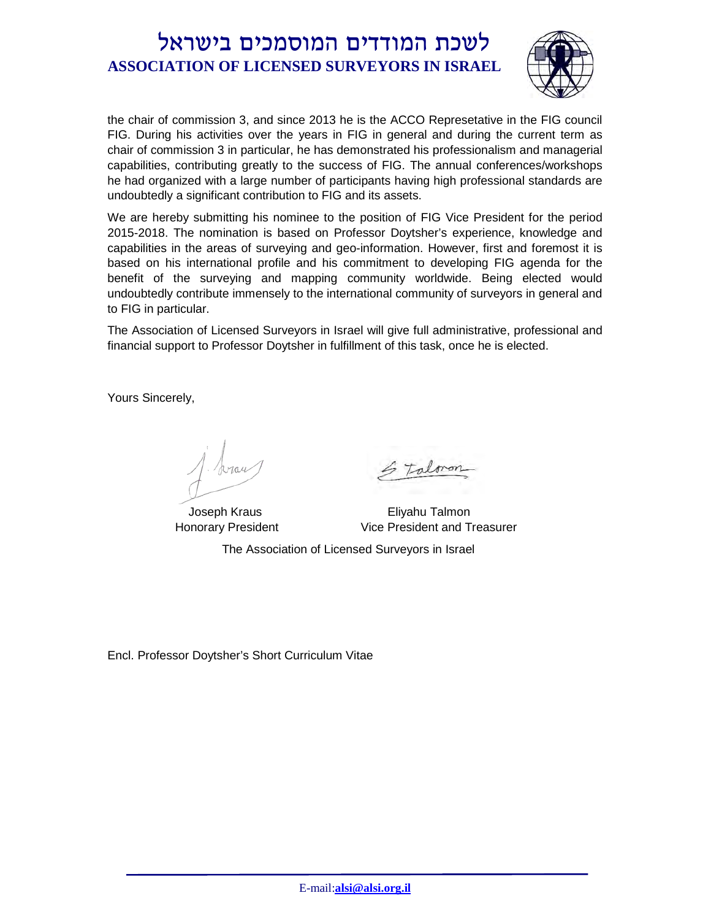

the chair of commission 3, and since 2013 he is the ACCO Represetative in the FIG council FIG. During his activities over the years in FIG in general and during the current term as chair of commission 3 in particular, he has demonstrated his professionalism and managerial capabilities, contributing greatly to the success of FIG. The annual conferences/workshops he had organized with a large number of participants having high professional standards are undoubtedly a significant contribution to FIG and its assets.

We are hereby submitting his nominee to the position of FIG Vice President for the period 2015-2018. The nomination is based on Professor Doytsher's experience, knowledge and capabilities in the areas of surveying and geo-information. However, first and foremost it is based on his international profile and his commitment to developing FIG agenda for the benefit of the surveying and mapping community worldwide. Being elected would undoubtedly contribute immensely to the international community of surveyors in general and to FIG in particular.

The Association of Licensed Surveyors in Israel will give full administrative, professional and financial support to Professor Doytsher in fulfillment of this task, once he is elected.

Yours Sincerely,

 Joseph Kraus Honorary President

 Eliyahu Talmon Vice President and Treasurer

The Association of Licensed Surveyors in Israel

Encl. Professor Doytsher's Short Curriculum Vitae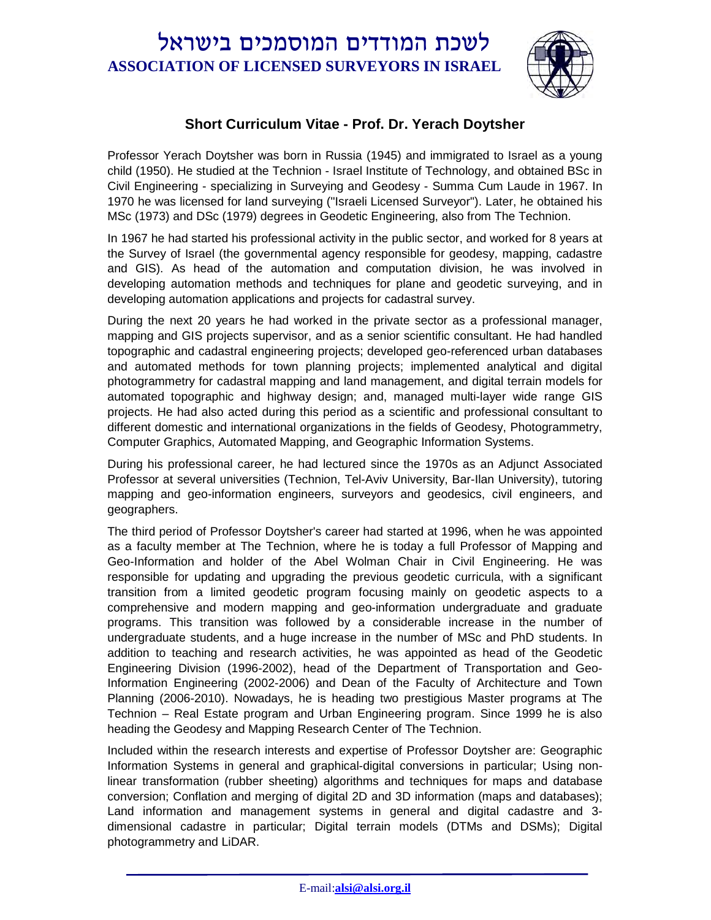

#### **Short Curriculum Vitae - Prof. Dr. Yerach Doytsher**

Professor Yerach Doytsher was born in Russia (1945) and immigrated to Israel as a young child (1950). He studied at the Technion - Israel Institute of Technology, and obtained BSc in Civil Engineering - specializing in Surveying and Geodesy - Summa Cum Laude in 1967. In 1970 he was licensed for land surveying ("Israeli Licensed Surveyor"). Later, he obtained his MSc (1973) and DSc (1979) degrees in Geodetic Engineering, also from The Technion.

In 1967 he had started his professional activity in the public sector, and worked for 8 years at the Survey of Israel (the governmental agency responsible for geodesy, mapping, cadastre and GIS). As head of the automation and computation division, he was involved in developing automation methods and techniques for plane and geodetic surveying, and in developing automation applications and projects for cadastral survey.

During the next 20 years he had worked in the private sector as a professional manager, mapping and GIS projects supervisor, and as a senior scientific consultant. He had handled topographic and cadastral engineering projects; developed geo-referenced urban databases and automated methods for town planning projects; implemented analytical and digital photogrammetry for cadastral mapping and land management, and digital terrain models for automated topographic and highway design; and, managed multi-layer wide range GIS projects. He had also acted during this period as a scientific and professional consultant to different domestic and international organizations in the fields of Geodesy, Photogrammetry, Computer Graphics, Automated Mapping, and Geographic Information Systems.

During his professional career, he had lectured since the 1970s as an Adjunct Associated Professor at several universities (Technion, Tel-Aviv University, Bar-Ilan University), tutoring mapping and geo-information engineers, surveyors and geodesics, civil engineers, and geographers.

The third period of Professor Doytsher's career had started at 1996, when he was appointed as a faculty member at The Technion, where he is today a full Professor of Mapping and Geo-Information and holder of the Abel Wolman Chair in Civil Engineering. He was responsible for updating and upgrading the previous geodetic curricula, with a significant transition from a limited geodetic program focusing mainly on geodetic aspects to a comprehensive and modern mapping and geo-information undergraduate and graduate programs. This transition was followed by a considerable increase in the number of undergraduate students, and a huge increase in the number of MSc and PhD students. In addition to teaching and research activities, he was appointed as head of the Geodetic Engineering Division (1996-2002), head of the Department of Transportation and Geo-Information Engineering (2002-2006) and Dean of the Faculty of Architecture and Town Planning (2006-2010). Nowadays, he is heading two prestigious Master programs at The Technion – Real Estate program and Urban Engineering program. Since 1999 he is also heading the Geodesy and Mapping Research Center of The Technion.

Included within the research interests and expertise of Professor Doytsher are: Geographic Information Systems in general and graphical-digital conversions in particular; Using nonlinear transformation (rubber sheeting) algorithms and techniques for maps and database conversion; Conflation and merging of digital 2D and 3D information (maps and databases); Land information and management systems in general and digital cadastre and 3 dimensional cadastre in particular; Digital terrain models (DTMs and DSMs); Digital photogrammetry and LiDAR.